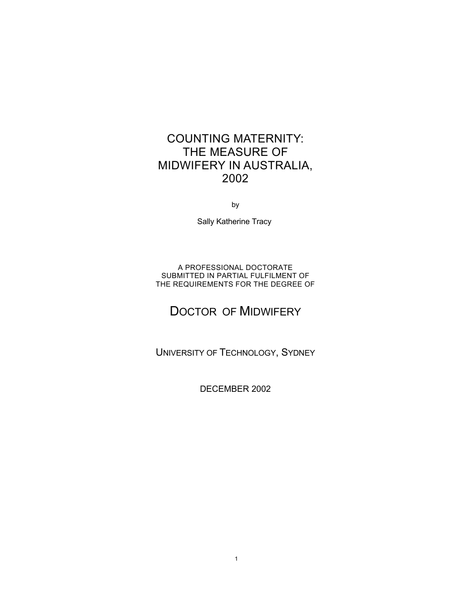# COUNTING MATERNITY: THE MEASURE OF MIDWIFERY IN AUSTRALIA, 2002

by

Sally Katherine Tracy

A PROFESSIONAL DOCTORATE SUBMITTED IN PARTIAL FULFILMENT OF THE REQUIREMENTS FOR THE DEGREE OF

# DOCTOR OF MIDWIFERY

UNIVERSITY OF TECHNOLOGY, SYDNEY

DECEMBER 2002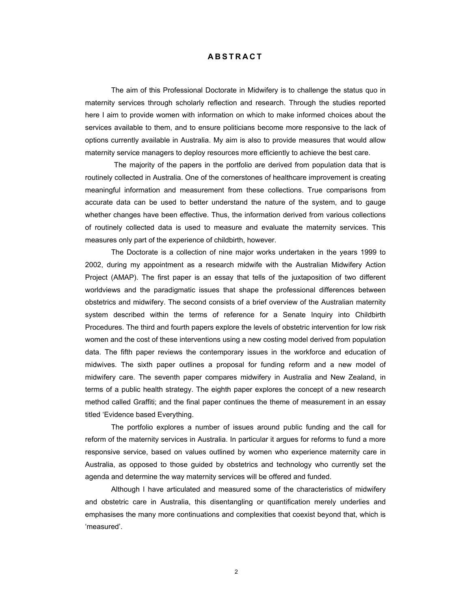# **ABSTRACT**

The aim of this Professional Doctorate in Midwifery is to challenge the status quo in maternity services through scholarly reflection and research. Through the studies reported here I aim to provide women with information on which to make informed choices about the services available to them, and to ensure politicians become more responsive to the lack of options currently available in Australia. My aim is also to provide measures that would allow maternity service managers to deploy resources more efficiently to achieve the best care.

 The majority of the papers in the portfolio are derived from population data that is routinely collected in Australia. One of the cornerstones of healthcare improvement is creating meaningful information and measurement from these collections. True comparisons from accurate data can be used to better understand the nature of the system, and to gauge whether changes have been effective. Thus, the information derived from various collections of routinely collected data is used to measure and evaluate the maternity services. This measures only part of the experience of childbirth, however.

The Doctorate is a collection of nine major works undertaken in the years 1999 to 2002, during my appointment as a research midwife with the Australian Midwifery Action Project (AMAP). The first paper is an essay that tells of the juxtaposition of two different worldviews and the paradigmatic issues that shape the professional differences between obstetrics and midwifery. The second consists of a brief overview of the Australian maternity system described within the terms of reference for a Senate Inquiry into Childbirth Procedures. The third and fourth papers explore the levels of obstetric intervention for low risk women and the cost of these interventions using a new costing model derived from population data. The fifth paper reviews the contemporary issues in the workforce and education of midwives. The sixth paper outlines a proposal for funding reform and a new model of midwifery care. The seventh paper compares midwifery in Australia and New Zealand, in terms of a public health strategy. The eighth paper explores the concept of a new research method called Graffiti; and the final paper continues the theme of measurement in an essay titled 'Evidence based Everything.

The portfolio explores a number of issues around public funding and the call for reform of the maternity services in Australia. In particular it argues for reforms to fund a more responsive service, based on values outlined by women who experience maternity care in Australia, as opposed to those guided by obstetrics and technology who currently set the agenda and determine the way maternity services will be offered and funded.

Although I have articulated and measured some of the characteristics of midwifery and obstetric care in Australia, this disentangling or quantification merely underlies and emphasises the many more continuations and complexities that coexist beyond that, which is 'measured'.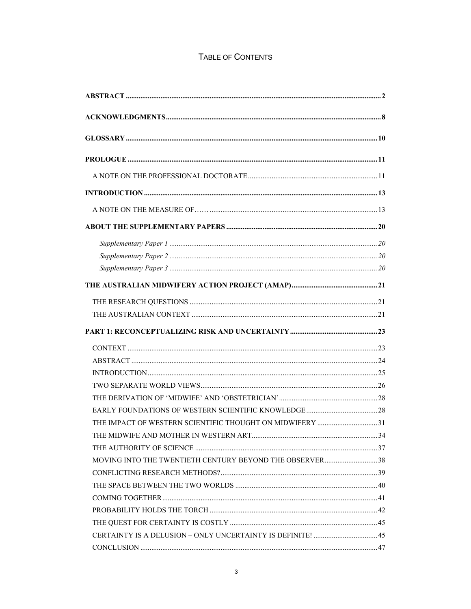# TABLE OF CONTENTS

| THE IMPACT OF WESTERN SCIENTIFIC THOUGHT ON MIDWIFERY 31 |  |
|----------------------------------------------------------|--|
| THE MIDWIFE AND MOTHER IN WESTERN ART 34                 |  |
|                                                          |  |
| MOVING INTO THE TWENTIETH CENTURY BEYOND THE OBSERVER38  |  |
|                                                          |  |
|                                                          |  |
|                                                          |  |
|                                                          |  |
|                                                          |  |
|                                                          |  |
|                                                          |  |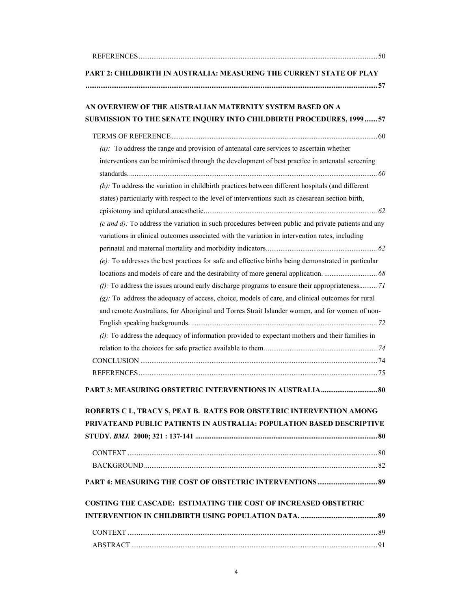| PART 2: CHILDBIRTH IN AUSTRALIA: MEASURING THE CURRENT STATE OF PLAY                                                               |  |
|------------------------------------------------------------------------------------------------------------------------------------|--|
|                                                                                                                                    |  |
| AN OVERVIEW OF THE AUSTRALIAN MATERNITY SYSTEM BASED ON A<br>SUBMISSION TO THE SENATE INQUIRY INTO CHILDBIRTH PROCEDURES, 1999  57 |  |
|                                                                                                                                    |  |
|                                                                                                                                    |  |
| $(a)$ : To address the range and provision of antenatal care services to ascertain whether                                         |  |
| interventions can be minimised through the development of best practice in antenatal screening                                     |  |
|                                                                                                                                    |  |
| (b). To address the variation in childbirth practices between different hospitals (and different                                   |  |
| states) particularly with respect to the level of interventions such as caesarean section birth,                                   |  |
|                                                                                                                                    |  |
| $(c \text{ and } d)$ : To address the variation in such procedures between public and private patients and any                     |  |
| variations in clinical outcomes associated with the variation in intervention rates, including                                     |  |
|                                                                                                                                    |  |
| $(e)$ . To addresses the best practices for safe and effective births being demonstrated in particular                             |  |
|                                                                                                                                    |  |
| (f): To address the issues around early discharge programs to ensure their appropriateness 71                                      |  |
| $(g)$ . To address the adequacy of access, choice, models of care, and clinical outcomes for rural                                 |  |
| and remote Australians, for Aboriginal and Torres Strait Islander women, and for women of non-                                     |  |
| $(i)$ : To address the adequacy of information provided to expectant mothers and their families in                                 |  |
|                                                                                                                                    |  |
|                                                                                                                                    |  |
|                                                                                                                                    |  |
|                                                                                                                                    |  |
| ROBERTS C L, TRACY S, PEAT B. RATES FOR OBSTETRIC INTERVENTION AMONG                                                               |  |
| PRIVATEAND PUBLIC PATIENTS IN AUSTRALIA: POPULATION BASED DESCRIPTIVE                                                              |  |
|                                                                                                                                    |  |
|                                                                                                                                    |  |
|                                                                                                                                    |  |
|                                                                                                                                    |  |
| <b>COSTING THE CASCADE: ESTIMATING THE COST OF INCREASED OBSTETRIC</b>                                                             |  |
|                                                                                                                                    |  |
|                                                                                                                                    |  |
|                                                                                                                                    |  |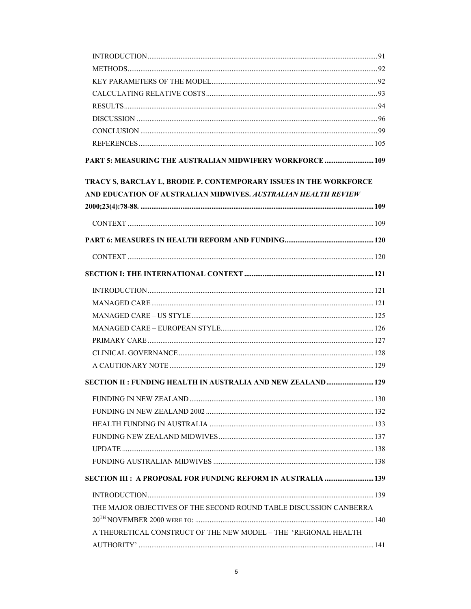| PART 5: MEASURING THE AUSTRALIAN MIDWIFERY WORKFORCE  109          |  |
|--------------------------------------------------------------------|--|
| TRACY S, BARCLAY L, BRODIE P. CONTEMPORARY ISSUES IN THE WORKFORCE |  |
| AND EDUCATION OF AUSTRALIAN MIDWIVES. AUSTRALIAN HEALTH REVIEW     |  |
|                                                                    |  |
|                                                                    |  |
|                                                                    |  |
|                                                                    |  |
|                                                                    |  |
|                                                                    |  |
|                                                                    |  |
|                                                                    |  |
|                                                                    |  |
|                                                                    |  |
|                                                                    |  |
|                                                                    |  |
| SECTION II : FUNDING HEALTH IN AUSTRALIA AND NEW ZEALAND  129      |  |
|                                                                    |  |
|                                                                    |  |
|                                                                    |  |
|                                                                    |  |
|                                                                    |  |
|                                                                    |  |
| SECTION III : A PROPOSAL FOR FUNDING REFORM IN AUSTRALIA  139      |  |
|                                                                    |  |
| THE MAJOR OBJECTIVES OF THE SECOND ROUND TABLE DISCUSSION CANBERRA |  |
|                                                                    |  |
| A THEORETICAL CONSTRUCT OF THE NEW MODEL - THE 'REGIONAL HEALTH    |  |
|                                                                    |  |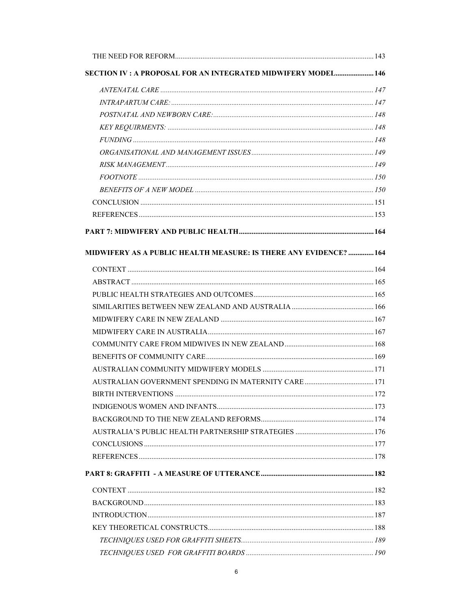| <b>SECTION IV : A PROPOSAL FOR AN INTEGRATED MIDWIFERY MODEL 146</b> |     |
|----------------------------------------------------------------------|-----|
|                                                                      |     |
|                                                                      |     |
|                                                                      |     |
|                                                                      |     |
|                                                                      |     |
|                                                                      |     |
|                                                                      |     |
|                                                                      |     |
|                                                                      |     |
|                                                                      |     |
|                                                                      |     |
|                                                                      |     |
| MIDWIFERY AS A PUBLIC HEALTH MEASURE: IS THERE ANY EVIDENCE?  164    |     |
|                                                                      |     |
|                                                                      |     |
|                                                                      |     |
|                                                                      |     |
|                                                                      |     |
|                                                                      |     |
|                                                                      |     |
|                                                                      |     |
|                                                                      |     |
|                                                                      |     |
| BIRTH INTERVENTIONS                                                  | 172 |
|                                                                      |     |
|                                                                      |     |
|                                                                      |     |
|                                                                      |     |
|                                                                      |     |
|                                                                      |     |
|                                                                      |     |
|                                                                      |     |
|                                                                      |     |
|                                                                      |     |
|                                                                      |     |
|                                                                      |     |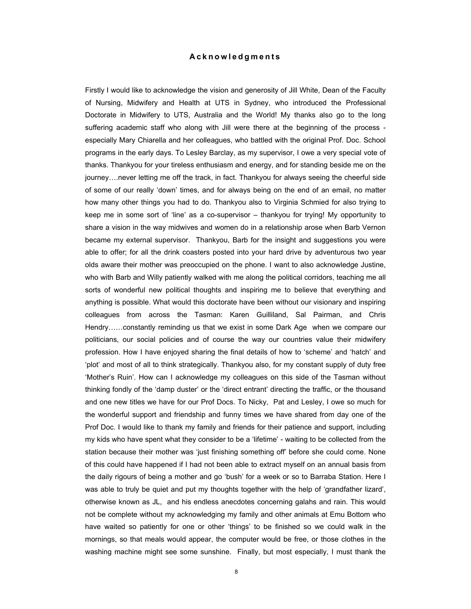### **Acknowledgments**

Firstly I would like to acknowledge the vision and generosity of Jill White, Dean of the Faculty of Nursing, Midwifery and Health at UTS in Sydney, who introduced the Professional Doctorate in Midwifery to UTS, Australia and the World! My thanks also go to the long suffering academic staff who along with Jill were there at the beginning of the process especially Mary Chiarella and her colleagues, who battled with the original Prof. Doc. School programs in the early days. To Lesley Barclay, as my supervisor, I owe a very special vote of thanks. Thankyou for your tireless enthusiasm and energy, and for standing beside me on the journey….never letting me off the track, in fact. Thankyou for always seeing the cheerful side of some of our really 'down' times, and for always being on the end of an email, no matter how many other things you had to do. Thankyou also to Virginia Schmied for also trying to keep me in some sort of 'line' as a co-supervisor – thankyou for trying! My opportunity to share a vision in the way midwives and women do in a relationship arose when Barb Vernon became my external supervisor. Thankyou, Barb for the insight and suggestions you were able to offer; for all the drink coasters posted into your hard drive by adventurous two year olds aware their mother was preoccupied on the phone. I want to also acknowledge Justine, who with Barb and Willy patiently walked with me along the political corridors, teaching me all sorts of wonderful new political thoughts and inspiring me to believe that everything and anything is possible. What would this doctorate have been without our visionary and inspiring colleagues from across the Tasman: Karen Guilliland, Sal Pairman, and Chris Hendry……constantly reminding us that we exist in some Dark Age when we compare our politicians, our social policies and of course the way our countries value their midwifery profession. How I have enjoyed sharing the final details of how to 'scheme' and 'hatch' and 'plot' and most of all to think strategically. Thankyou also, for my constant supply of duty free 'Mother's Ruin'. How can I acknowledge my colleagues on this side of the Tasman without thinking fondly of the 'damp duster' or the 'direct entrant' directing the traffic, or the thousand and one new titles we have for our Prof Docs. To Nicky, Pat and Lesley, I owe so much for the wonderful support and friendship and funny times we have shared from day one of the Prof Doc. I would like to thank my family and friends for their patience and support, including my kids who have spent what they consider to be a 'lifetime' - waiting to be collected from the station because their mother was 'just finishing something off' before she could come. None of this could have happened if I had not been able to extract myself on an annual basis from the daily rigours of being a mother and go 'bush' for a week or so to Barraba Station. Here I was able to truly be quiet and put my thoughts together with the help of 'grandfather lizard', otherwise known as JL, and his endless anecdotes concerning galahs and rain. This would not be complete without my acknowledging my family and other animals at Emu Bottom who have waited so patiently for one or other 'things' to be finished so we could walk in the mornings, so that meals would appear, the computer would be free, or those clothes in the washing machine might see some sunshine. Finally, but most especially, I must thank the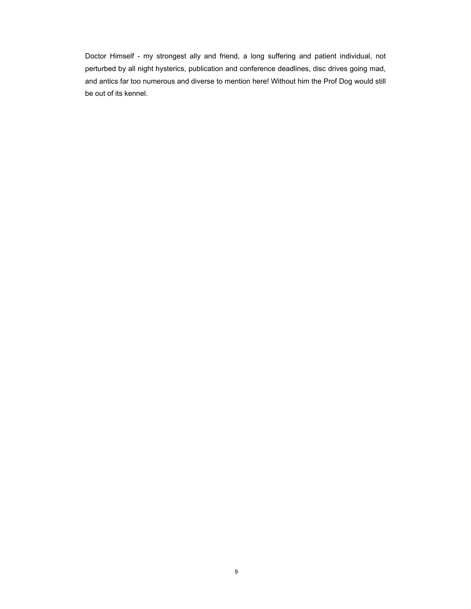Doctor Himself - my strongest ally and friend, a long suffering and patient individual, not perturbed by all night hysterics, publication and conference deadlines, disc drives going mad, and antics far too numerous and diverse to mention here! Without him the Prof Dog would still be out of its kennel.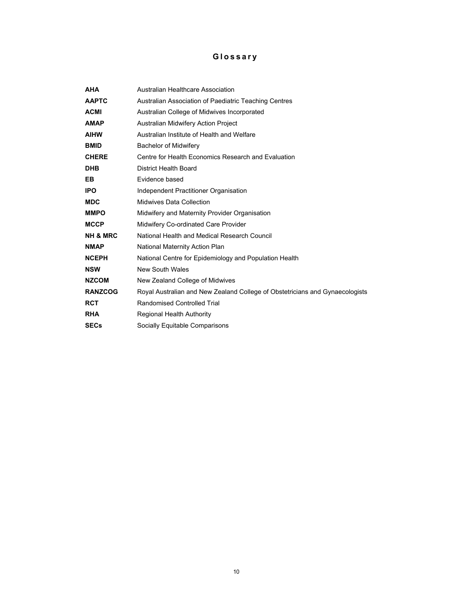# **Glossary**

| <b>AHA</b>          | Australian Healthcare Association                                            |
|---------------------|------------------------------------------------------------------------------|
| <b>AAPTC</b>        | Australian Association of Paediatric Teaching Centres                        |
| <b>ACMI</b>         | Australian College of Midwives Incorporated                                  |
| <b>AMAP</b>         | <b>Australian Midwifery Action Project</b>                                   |
| <b>AIHW</b>         | Australian Institute of Health and Welfare                                   |
| <b>BMID</b>         | <b>Bachelor of Midwifery</b>                                                 |
| <b>CHERE</b>        | Centre for Health Economics Research and Evaluation                          |
| <b>DHB</b>          | District Health Board                                                        |
| EB                  | Evidence based                                                               |
| <b>IPO</b>          | Independent Practitioner Organisation                                        |
| <b>MDC</b>          | Midwives Data Collection                                                     |
| <b>MMPO</b>         | Midwifery and Maternity Provider Organisation                                |
| <b>MCCP</b>         | Midwifery Co-ordinated Care Provider                                         |
| <b>NH &amp; MRC</b> | National Health and Medical Research Council                                 |
| <b>NMAP</b>         | National Maternity Action Plan                                               |
| <b>NCEPH</b>        | National Centre for Epidemiology and Population Health                       |
| <b>NSW</b>          | <b>New South Wales</b>                                                       |
| <b>NZCOM</b>        | New Zealand College of Midwives                                              |
| <b>RANZCOG</b>      | Royal Australian and New Zealand College of Obstetricians and Gynaecologists |
| <b>RCT</b>          | Randomised Controlled Trial                                                  |
| <b>RHA</b>          | <b>Regional Health Authority</b>                                             |
| <b>SECs</b>         | Socially Equitable Comparisons                                               |
|                     |                                                                              |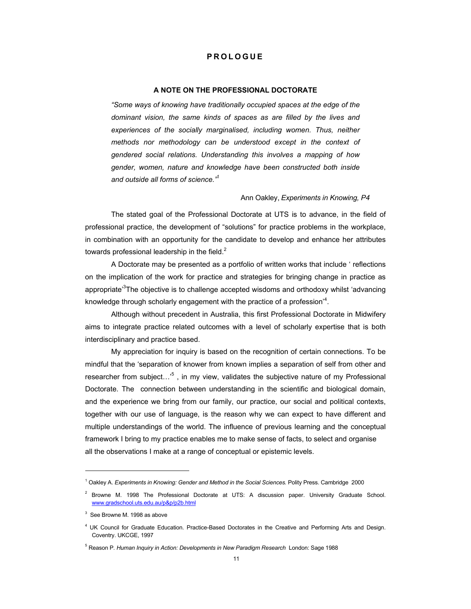# **PROLOGUE**

#### **A NOTE ON THE PROFESSIONAL DOCTORATE**

*"Some ways of knowing have traditionally occupied spaces at the edge of the dominant vision, the same kinds of spaces as are filled by the lives and experiences of the socially marginalised, including women. Thus, neither methods nor methodology can be understood except in the context of gendered social relations. Understanding this involves a mapping of how gender, women, nature and knowledge have been constructed both inside and outside all forms of science."*<sup>1</sup>

#### Ann Oakley, *Experiments in Knowing, P4*

The stated goal of the Professional Doctorate at UTS is to advance, in the field of professional practice, the development of "solutions" for practice problems in the workplace, in combination with an opportunity for the candidate to develop and enhance her attributes towards professional leadership in the field. $2$ 

A Doctorate may be presented as a portfolio of written works that include ' reflections on the implication of the work for practice and strategies for bringing change in practice as appropriate<sup>3</sup>The objective is to challenge accepted wisdoms and orthodoxy whilst 'advancing knowledge through scholarly engagement with the practice of a profession'<sup>4</sup>.

Although without precedent in Australia, this first Professional Doctorate in Midwifery aims to integrate practice related outcomes with a level of scholarly expertise that is both interdisciplinary and practice based.

My appreciation for inquiry is based on the recognition of certain connections. To be mindful that the 'separation of knower from known implies a separation of self from other and researcher from subject...'<sup>5</sup>, in my view, validates the subjective nature of my Professional Doctorate. The connection between understanding in the scientific and biological domain, and the experience we bring from our family, our practice, our social and political contexts, together with our use of language, is the reason why we can expect to have different and multiple understandings of the world. The influence of previous learning and the conceptual framework I bring to my practice enables me to make sense of facts, to select and organise all the observations I make at a range of conceptual or epistemic levels.

<sup>1</sup> Oakley A. *Experiments in Knowing: Gender and Method in the Social Sciences.* Polity Press. Cambridge 2000

<sup>2</sup> Browne M. 1998 The Professional Doctorate at UTS: A discussion paper. University Graduate School. www.gradschool.uts.edu.au/p&p/p2b.html

<sup>&</sup>lt;sup>3</sup> See Browne M. 1998 as above

UK Council for Graduate Education. Practice-Based Doctorates in the Creative and Performing Arts and Design. Coventry. UKCGE, 1997

<sup>5</sup> Reason P*. Human Inquiry in Action: Developments in New Paradigm Research* London: Sage 1988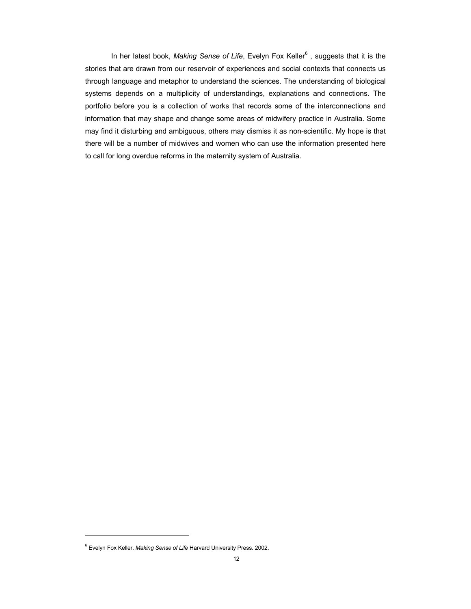In her latest book, Making Sense of Life, Evelyn Fox Keller<sup>6</sup>, suggests that it is the stories that are drawn from our reservoir of experiences and social contexts that connects us through language and metaphor to understand the sciences. The understanding of biological systems depends on a multiplicity of understandings, explanations and connections. The portfolio before you is a collection of works that records some of the interconnections and information that may shape and change some areas of midwifery practice in Australia. Some may find it disturbing and ambiguous, others may dismiss it as non-scientific. My hope is that there will be a number of midwives and women who can use the information presented here to call for long overdue reforms in the maternity system of Australia.

l

<sup>6</sup> Evelyn Fox Keller. *Making Sense of Life* Harvard University Press. 2002.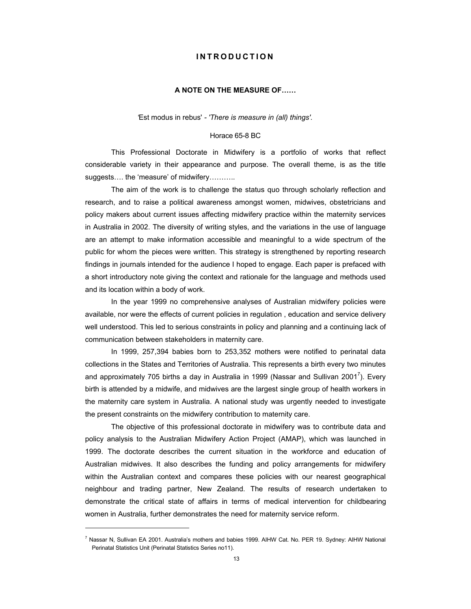# **INTRODUCTION**

### **A NOTE ON THE MEASURE OF……**

*'*Est modus in rebus' *- 'There is measure in (all) things'.*

#### Horace 65-8 BC

This Professional Doctorate in Midwifery is a portfolio of works that reflect considerable variety in their appearance and purpose. The overall theme, is as the title suggests…. the 'measure' of midwifery………..

The aim of the work is to challenge the status quo through scholarly reflection and research, and to raise a political awareness amongst women, midwives, obstetricians and policy makers about current issues affecting midwifery practice within the maternity services in Australia in 2002. The diversity of writing styles, and the variations in the use of language are an attempt to make information accessible and meaningful to a wide spectrum of the public for whom the pieces were written. This strategy is strengthened by reporting research findings in journals intended for the audience I hoped to engage. Each paper is prefaced with a short introductory note giving the context and rationale for the language and methods used and its location within a body of work.

In the year 1999 no comprehensive analyses of Australian midwifery policies were available, nor were the effects of current policies in regulation , education and service delivery well understood. This led to serious constraints in policy and planning and a continuing lack of communication between stakeholders in maternity care.

In 1999, 257,394 babies born to 253,352 mothers were notified to perinatal data collections in the States and Territories of Australia. This represents a birth every two minutes and approximately 705 births a day in Australia in 1999 (Nassar and Sullivan 2001<sup>7</sup>). Every birth is attended by a midwife, and midwives are the largest single group of health workers in the maternity care system in Australia. A national study was urgently needed to investigate the present constraints on the midwifery contribution to maternity care.

The objective of this professional doctorate in midwifery was to contribute data and policy analysis to the Australian Midwifery Action Project (AMAP), which was launched in 1999. The doctorate describes the current situation in the workforce and education of Australian midwives. It also describes the funding and policy arrangements for midwifery within the Australian context and compares these policies with our nearest geographical neighbour and trading partner, New Zealand. The results of research undertaken to demonstrate the critical state of affairs in terms of medical intervention for childbearing women in Australia, further demonstrates the need for maternity service reform.

<sup>7</sup> Nassar N, Sullivan EA 2001. Australia's mothers and babies 1999. AIHW Cat. No. PER 19. Sydney: AIHW National Perinatal Statistics Unit (Perinatal Statistics Series no11).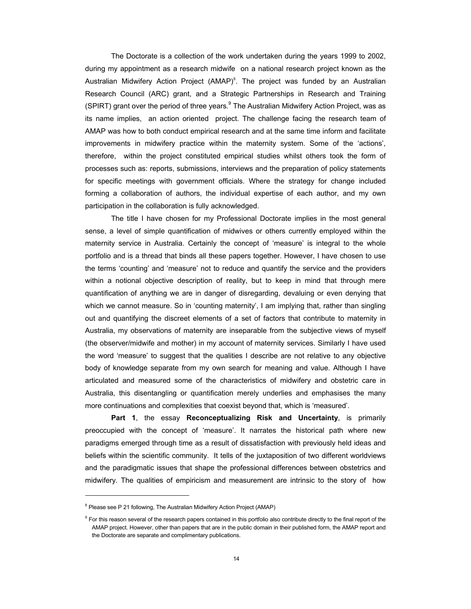The Doctorate is a collection of the work undertaken during the years 1999 to 2002, during my appointment as a research midwife on a national research project known as the Australian Midwifery Action Project (AMAP)<sup>8</sup>. The project was funded by an Australian Research Council (ARC) grant, and a Strategic Partnerships in Research and Training (SPIRT) grant over the period of three years. $^9$  The Australian Midwifery Action Project, was as its name implies, an action oriented project. The challenge facing the research team of AMAP was how to both conduct empirical research and at the same time inform and facilitate improvements in midwifery practice within the maternity system. Some of the 'actions', therefore, within the project constituted empirical studies whilst others took the form of processes such as: reports, submissions, interviews and the preparation of policy statements for specific meetings with government officials. Where the strategy for change included forming a collaboration of authors, the individual expertise of each author, and my own participation in the collaboration is fully acknowledged.

The title I have chosen for my Professional Doctorate implies in the most general sense, a level of simple quantification of midwives or others currently employed within the maternity service in Australia. Certainly the concept of 'measure' is integral to the whole portfolio and is a thread that binds all these papers together. However, I have chosen to use the terms 'counting' and 'measure' not to reduce and quantify the service and the providers within a notional objective description of reality, but to keep in mind that through mere quantification of anything we are in danger of disregarding, devaluing or even denying that which we cannot measure. So in 'counting maternity', I am implying that, rather than singling out and quantifying the discreet elements of a set of factors that contribute to maternity in Australia, my observations of maternity are inseparable from the subjective views of myself (the observer/midwife and mother) in my account of maternity services. Similarly I have used the word 'measure' to suggest that the qualities I describe are not relative to any objective body of knowledge separate from my own search for meaning and value. Although I have articulated and measured some of the characteristics of midwifery and obstetric care in Australia, this disentangling or quantification merely underlies and emphasises the many more continuations and complexities that coexist beyond that, which is 'measured'.

**Part 1**, the essay **Reconceptualizing Risk and Uncertainty**, is primarily preoccupied with the concept of 'measure'. It narrates the historical path where new paradigms emerged through time as a result of dissatisfaction with previously held ideas and beliefs within the scientific community. It tells of the juxtaposition of two different worldviews and the paradigmatic issues that shape the professional differences between obstetrics and midwifery. The qualities of empiricism and measurement are intrinsic to the story of how

 $8$  Please see P 21 following, The Australian Midwifery Action Project (AMAP)

<sup>&</sup>lt;sup>9</sup> For this reason several of the research papers contained in this portfolio also contribute directly to the final report of the AMAP project. However, other than papers that are in the public domain in their published form, the AMAP report and the Doctorate are separate and complimentary publications.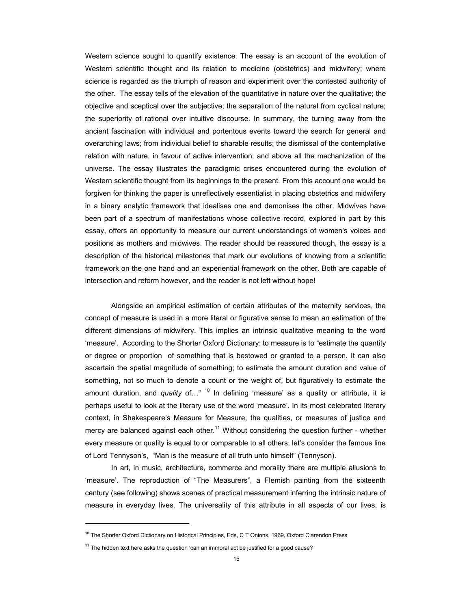Western science sought to quantify existence. The essay is an account of the evolution of Western scientific thought and its relation to medicine (obstetrics) and midwifery; where science is regarded as the triumph of reason and experiment over the contested authority of the other. The essay tells of the elevation of the quantitative in nature over the qualitative; the objective and sceptical over the subjective; the separation of the natural from cyclical nature; the superiority of rational over intuitive discourse. In summary, the turning away from the ancient fascination with individual and portentous events toward the search for general and overarching laws; from individual belief to sharable results; the dismissal of the contemplative relation with nature, in favour of active intervention; and above all the mechanization of the universe. The essay illustrates the paradigmic crises encountered during the evolution of Western scientific thought from its beginnings to the present. From this account one would be forgiven for thinking the paper is unreflectively essentialist in placing obstetrics and midwifery in a binary analytic framework that idealises one and demonises the other. Midwives have been part of a spectrum of manifestations whose collective record, explored in part by this essay, offers an opportunity to measure our current understandings of women's voices and positions as mothers and midwives. The reader should be reassured though, the essay is a description of the historical milestones that mark our evolutions of knowing from a scientific framework on the one hand and an experiential framework on the other. Both are capable of intersection and reform however, and the reader is not left without hope!

Alongside an empirical estimation of certain attributes of the maternity services, the concept of measure is used in a more literal or figurative sense to mean an estimation of the different dimensions of midwifery. This implies an intrinsic qualitative meaning to the word 'measure'. According to the Shorter Oxford Dictionary: to measure is to "estimate the quantity or degree or proportion of something that is bestowed or granted to a person. It can also ascertain the spatial magnitude of something; to estimate the amount duration and value of something, not so much to denote a count or the weight of, but figuratively to estimate the amount duration, and *quality* of..." <sup>10</sup> In defining 'measure' as a quality or attribute, it is perhaps useful to look at the literary use of the word 'measure'. In its most celebrated literary context, in Shakespeare's Measure for Measure, the qualities, or measures of justice and mercy are balanced against each other.<sup>11</sup> Without considering the question further - whether every measure or quality is equal to or comparable to all others, let's consider the famous line of Lord Tennyson's, "Man is the measure of all truth unto himself" (Tennyson).

In art, in music, architecture, commerce and morality there are multiple allusions to 'measure'. The reproduction of "The Measurers", a Flemish painting from the sixteenth century (see following) shows scenes of practical measurement inferring the intrinsic nature of measure in everyday lives. The universality of this attribute in all aspects of our lives, is

<sup>&</sup>lt;sup>10</sup> The Shorter Oxford Dictionary on Historical Principles, Eds, C T Onions, 1969, Oxford Clarendon Press

 $11$  The hidden text here asks the question 'can an immoral act be justified for a good cause?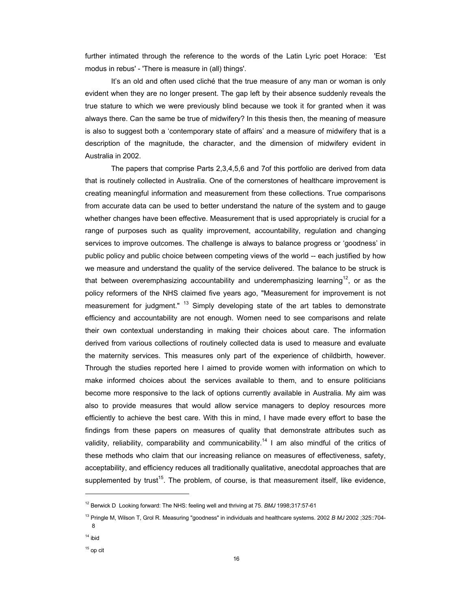further intimated through the reference to the words of the Latin Lyric poet Horace: 'Est modus in rebus' - 'There is measure in (all) things'.

It's an old and often used cliché that the true measure of any man or woman is only evident when they are no longer present. The gap left by their absence suddenly reveals the true stature to which we were previously blind because we took it for granted when it was always there. Can the same be true of midwifery? In this thesis then, the meaning of measure is also to suggest both a 'contemporary state of affairs' and a measure of midwifery that is a description of the magnitude, the character, and the dimension of midwifery evident in Australia in 2002.

The papers that comprise Parts 2,3,4,5,6 and 7of this portfolio are derived from data that is routinely collected in Australia. One of the cornerstones of healthcare improvement is creating meaningful information and measurement from these collections. True comparisons from accurate data can be used to better understand the nature of the system and to gauge whether changes have been effective. Measurement that is used appropriately is crucial for a range of purposes such as quality improvement, accountability, regulation and changing services to improve outcomes. The challenge is always to balance progress or 'goodness' in public policy and public choice between competing views of the world -- each justified by how we measure and understand the quality of the service delivered. The balance to be struck is that between overemphasizing accountability and underemphasizing learning<sup>12</sup>, or as the policy reformers of the NHS claimed five years ago, "Measurement for improvement is not measurement for judgment." <sup>13</sup> Simply developing state of the art tables to demonstrate efficiency and accountability are not enough. Women need to see comparisons and relate their own contextual understanding in making their choices about care. The information derived from various collections of routinely collected data is used to measure and evaluate the maternity services. This measures only part of the experience of childbirth, however. Through the studies reported here I aimed to provide women with information on which to make informed choices about the services available to them, and to ensure politicians become more responsive to the lack of options currently available in Australia. My aim was also to provide measures that would allow service managers to deploy resources more efficiently to achieve the best care. With this in mind, I have made every effort to base the findings from these papers on measures of quality that demonstrate attributes such as validity, reliability, comparability and communicability.<sup>14</sup> I am also mindful of the critics of these methods who claim that our increasing reliance on measures of effectiveness, safety, acceptability, and efficiency reduces all traditionally qualitative, anecdotal approaches that are supplemented by trust<sup>15</sup>. The problem, of course, is that measurement itself, like evidence,

<sup>12</sup> Berwick D Looking forward: The NHS: feeling well and thriving at 75. *BMJ* 1998;317:57-61

<sup>13</sup> Pringle M, Wilson T, Grol R. Measuring "goodness" in individuals and healthcare systems. 2002 *B MJ* 2002 ;325::704- 8

<sup>14</sup> ibid

<sup>&</sup>lt;sup>15</sup> op cit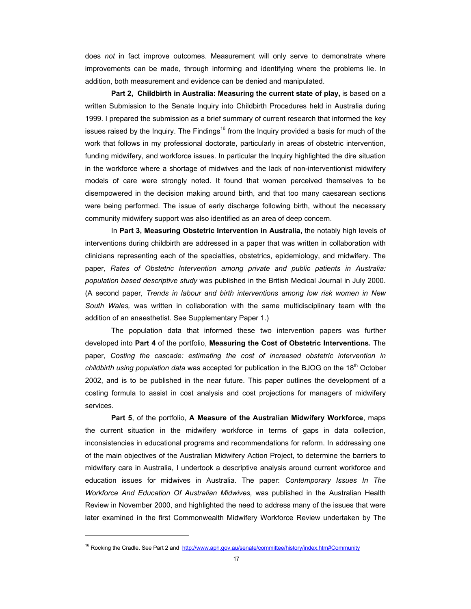does *not* in fact improve outcomes. Measurement will only serve to demonstrate where improvements can be made, through informing and identifying where the problems lie. In addition, both measurement and evidence can be denied and manipulated.

**Part 2, Childbirth in Australia: Measuring the current state of play,** is based on a written Submission to the Senate Inquiry into Childbirth Procedures held in Australia during 1999. I prepared the submission as a brief summary of current research that informed the key issues raised by the Inquiry. The Findings<sup>16</sup> from the Inquiry provided a basis for much of the work that follows in my professional doctorate, particularly in areas of obstetric intervention, funding midwifery, and workforce issues. In particular the Inquiry highlighted the dire situation in the workforce where a shortage of midwives and the lack of non-interventionist midwifery models of care were strongly noted. It found that women perceived themselves to be disempowered in the decision making around birth, and that too many caesarean sections were being performed. The issue of early discharge following birth, without the necessary community midwifery support was also identified as an area of deep concern.

In **Part 3, Measuring Obstetric Intervention in Australia,** the notably high levels of interventions during childbirth are addressed in a paper that was written in collaboration with clinicians representing each of the specialties, obstetrics, epidemiology, and midwifery. The paper*, Rates of Obstetric Intervention among private and public patients in Australia: population based descriptive study* was published in the British Medical Journal in July 2000. (A second paper*, Trends in labour and birth interventions among low risk women in New South Wales,* was written in collaboration with the same multidisciplinary team with the addition of an anaesthetist. See Supplementary Paper 1.)

The population data that informed these two intervention papers was further developed into **Part 4** of the portfolio, **Measuring the Cost of Obstetric Interventions.** The paper, *Costing the cascade: estimating the cost of increased obstetric intervention in childbirth using population data* was accepted for publication in the BJOG on the 18<sup>th</sup> October 2002, and is to be published in the near future. This paper outlines the development of a costing formula to assist in cost analysis and cost projections for managers of midwifery services.

**Part 5**, of the portfolio, **A Measure of the Australian Midwifery Workforce**, maps the current situation in the midwifery workforce in terms of gaps in data collection, inconsistencies in educational programs and recommendations for reform. In addressing one of the main objectives of the Australian Midwifery Action Project, to determine the barriers to midwifery care in Australia, I undertook a descriptive analysis around current workforce and education issues for midwives in Australia. The paper: *Contemporary Issues In The Workforce And Education Of Australian Midwives,* was published in the Australian Health Review in November 2000, and highlighted the need to address many of the issues that were later examined in the first Commonwealth Midwifery Workforce Review undertaken by The

l

<sup>&</sup>lt;sup>16</sup> Rocking the Cradle. See Part 2 and http://www.aph.gov.au/senate/committee/history/index.htm#Community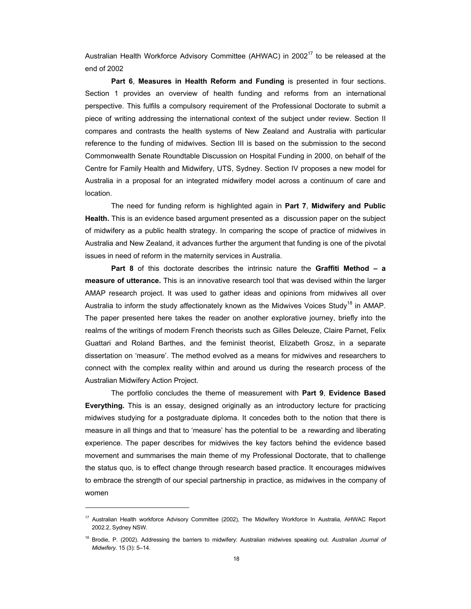Australian Health Workforce Advisory Committee (AHWAC) in 2002<sup>17</sup> to be released at the end of 2002

**Part 6**, **Measures in Health Reform and Funding** is presented in four sections. Section 1 provides an overview of health funding and reforms from an international perspective. This fulfils a compulsory requirement of the Professional Doctorate to submit a piece of writing addressing the international context of the subject under review. Section II compares and contrasts the health systems of New Zealand and Australia with particular reference to the funding of midwives. Section III is based on the submission to the second Commonwealth Senate Roundtable Discussion on Hospital Funding in 2000, on behalf of the Centre for Family Health and Midwifery, UTS, Sydney. Section IV proposes a new model for Australia in a proposal for an integrated midwifery model across a continuum of care and location.

The need for funding reform is highlighted again in **Part 7**, **Midwifery and Public Health.** This is an evidence based argument presented as a discussion paper on the subject of midwifery as a public health strategy. In comparing the scope of practice of midwives in Australia and New Zealand, it advances further the argument that funding is one of the pivotal issues in need of reform in the maternity services in Australia.

**Part 8** of this doctorate describes the intrinsic nature the **Graffiti Method – a measure of utterance.** This is an innovative research tool that was devised within the larger AMAP research project. It was used to gather ideas and opinions from midwives all over Australia to inform the study affectionately known as the Midwives Voices Study<sup>18</sup> in AMAP. The paper presented here takes the reader on another explorative journey, briefly into the realms of the writings of modern French theorists such as Gilles Deleuze, Claire Parnet, Felix Guattari and Roland Barthes, and the feminist theorist, Elizabeth Grosz, in a separate dissertation on 'measure'. The method evolved as a means for midwives and researchers to connect with the complex reality within and around us during the research process of the Australian Midwifery Action Project.

The portfolio concludes the theme of measurement with **Part 9**, **Evidence Based Everything.** This is an essay, designed originally as an introductory lecture for practicing midwives studying for a postgraduate diploma. It concedes both to the notion that there is measure in all things and that to 'measure' has the potential to be a rewarding and liberating experience. The paper describes for midwives the key factors behind the evidence based movement and summarises the main theme of my Professional Doctorate, that to challenge the status quo, is to effect change through research based practice. It encourages midwives to embrace the strength of our special partnership in practice, as midwives in the company of women

<sup>&</sup>lt;sup>17</sup> Australian Health workforce Advisory Committee (2002), The Midwifery Workforce In Australia, AHWAC Report 2002.2, Sydney NSW.

<sup>18</sup> Brodie, P. (2002). Addressing the barriers to midwifery: Australian midwives speaking out. *Australian Journal of Midwifery.* 15 (3): 5–14.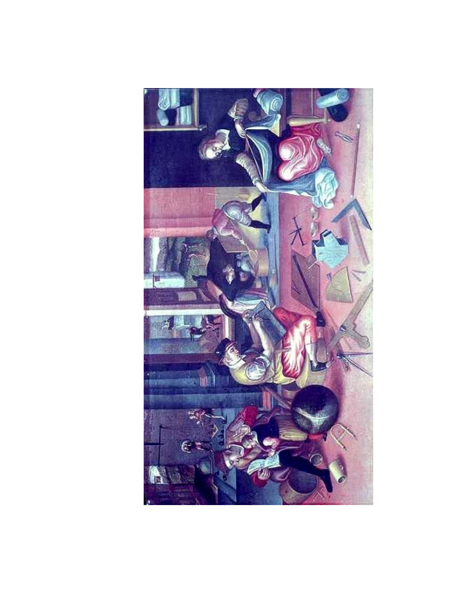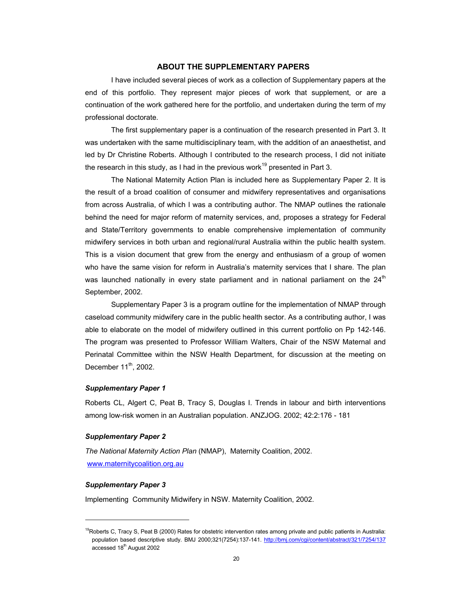### **ABOUT THE SUPPLEMENTARY PAPERS**

I have included several pieces of work as a collection of Supplementary papers at the end of this portfolio. They represent major pieces of work that supplement, or are a continuation of the work gathered here for the portfolio, and undertaken during the term of my professional doctorate.

The first supplementary paper is a continuation of the research presented in Part 3. It was undertaken with the same multidisciplinary team, with the addition of an anaesthetist, and led by Dr Christine Roberts. Although I contributed to the research process, I did not initiate the research in this study, as I had in the previous work<sup>19</sup> presented in Part 3.

The National Maternity Action Plan is included here as Supplementary Paper 2. It is the result of a broad coalition of consumer and midwifery representatives and organisations from across Australia, of which I was a contributing author. The NMAP outlines the rationale behind the need for major reform of maternity services, and, proposes a strategy for Federal and State/Territory governments to enable comprehensive implementation of community midwifery services in both urban and regional/rural Australia within the public health system. This is a vision document that grew from the energy and enthusiasm of a group of women who have the same vision for reform in Australia's maternity services that I share. The plan was launched nationally in every state parliament and in national parliament on the  $24<sup>th</sup>$ September, 2002.

Supplementary Paper 3 is a program outline for the implementation of NMAP through caseload community midwifery care in the public health sector. As a contributing author, I was able to elaborate on the model of midwifery outlined in this current portfolio on Pp 142-146. The program was presented to Professor William Walters, Chair of the NSW Maternal and Perinatal Committee within the NSW Health Department, for discussion at the meeting on December  $11<sup>th</sup>$ , 2002.

#### *Supplementary Paper 1*

Roberts CL, Algert C, Peat B, Tracy S, Douglas I. Trends in labour and birth interventions among low-risk women in an Australian population. ANZJOG. 2002; 42:2:176 - 181

#### *Supplementary Paper 2*

*The National Maternity Action Plan* (NMAP), Maternity Coalition, 2002. www.maternitycoalition.org.au

#### *Supplementary Paper 3*

 $\overline{a}$ 

Implementing Community Midwifery in NSW. Maternity Coalition, 2002.

<sup>&</sup>lt;sup>19</sup>Roberts C, Tracy S, Peat B (2000) Rates for obstetric intervention rates among private and public patients in Australia: population based descriptive study. BMJ 2000;321(7254):137-141. http://bmj.com/cgi/content/abstract/321/7254/137 accessed 18<sup>th</sup> August 2002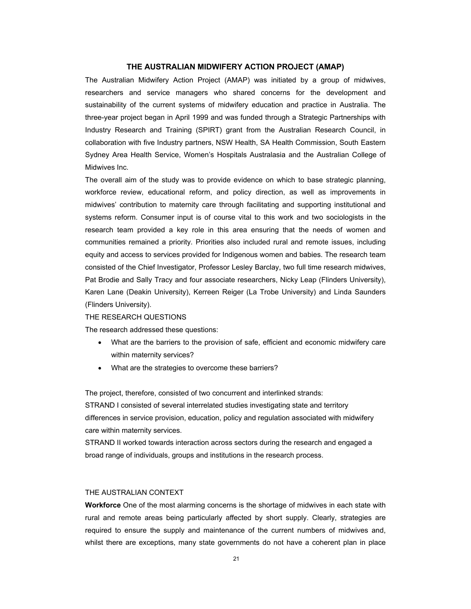### **THE AUSTRALIAN MIDWIFERY ACTION PROJECT (AMAP)**

The Australian Midwifery Action Project (AMAP) was initiated by a group of midwives, researchers and service managers who shared concerns for the development and sustainability of the current systems of midwifery education and practice in Australia. The three-year project began in April 1999 and was funded through a Strategic Partnerships with Industry Research and Training (SPIRT) grant from the Australian Research Council, in collaboration with five Industry partners, NSW Health, SA Health Commission, South Eastern Sydney Area Health Service, Women's Hospitals Australasia and the Australian College of Midwives Inc.

The overall aim of the study was to provide evidence on which to base strategic planning, workforce review, educational reform, and policy direction, as well as improvements in midwives' contribution to maternity care through facilitating and supporting institutional and systems reform. Consumer input is of course vital to this work and two sociologists in the research team provided a key role in this area ensuring that the needs of women and communities remained a priority. Priorities also included rural and remote issues, including equity and access to services provided for Indigenous women and babies. The research team consisted of the Chief Investigator, Professor Lesley Barclay, two full time research midwives, Pat Brodie and Sally Tracy and four associate researchers, Nicky Leap (Flinders University), Karen Lane (Deakin University), Kerreen Reiger (La Trobe University) and Linda Saunders (Flinders University).

#### THE RESEARCH QUESTIONS

The research addressed these questions:

- What are the barriers to the provision of safe, efficient and economic midwifery care within maternity services?
- What are the strategies to overcome these barriers?

The project, therefore, consisted of two concurrent and interlinked strands: STRAND I consisted of several interrelated studies investigating state and territory differences in service provision, education, policy and regulation associated with midwifery care within maternity services.

STRAND II worked towards interaction across sectors during the research and engaged a broad range of individuals, groups and institutions in the research process.

#### THE AUSTRALIAN CONTEXT

**Workforce** One of the most alarming concerns is the shortage of midwives in each state with rural and remote areas being particularly affected by short supply. Clearly, strategies are required to ensure the supply and maintenance of the current numbers of midwives and, whilst there are exceptions, many state governments do not have a coherent plan in place